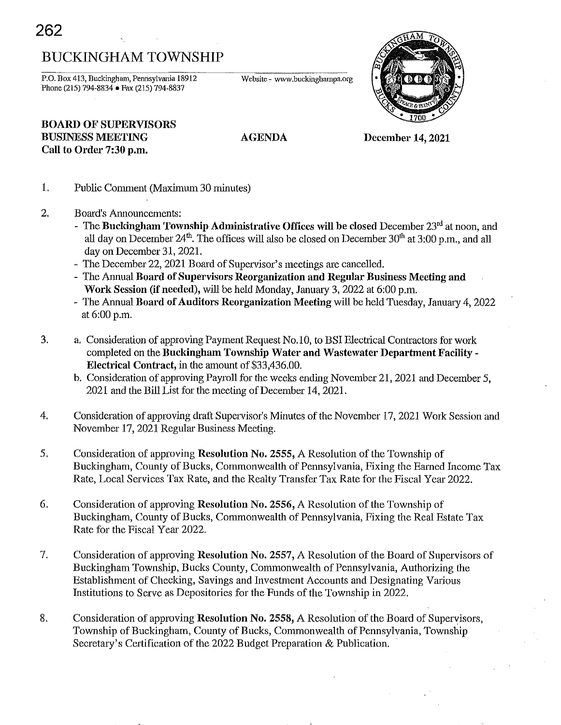# BUCKINGHAM TOWNSHIP

P.O. Box 413, Buckingham, Pennsylvania 18912 Phone (215) 794-8834 • Fax (215) 794-8837

**Website - www.buckinghampa.org** 



# **BOARD OF** SUPERVISORS BUSINESS MEETING Call to Order 7:30 p.m.

AGENDA

December 14, 2021

- 1. Public Comment (Maximum 30 minutes)
- 2. Board's Announcements:
	- The Buckingham Township Administrative Offices will be closed December  $23<sup>rd</sup>$  at noon, and all day on December  $24<sup>th</sup>$ . The offices will also be closed on December  $30<sup>th</sup>$  at  $3:00$  p.m., and all day on December 31,2021.
	- The December 22, 2021 Board of Supervisor's meetings are cancelled.
	- The Annual Board of Supervisors Reorganization and Regular Business Meeting and Work Session (if needed), will be held Monday, January 3, 2022 at 6:00 p.m.
	- The Annual Board of Auditors Reorganization Meeting will be held Tuesday, January 4, 2022 at 6:00 p.m.
- 3. a. Consideration of approving Payment Request No. 10, to BSI Electrical Contractors for work completed on the Buckingham Township Water and Wastewater Department Facility - Electrical Contract, in the amount of \$33,436.00.
	- b. Consideration of approving Payroll for the weeks ending November 21,2021 and December 5, 2021 and the Bill List for the meeting of December 14,2021.
- 4. Consideration of approving draft Supervisor's Minutes of the November 17, 2021 Work Session and November 17, 2021 Regular Business Meeting.
- 5. Consideration of approving Resolution No. 2555, A Resolution of the Township of Buckingham, County of Bucks, Commonwealth of Pennsylvania, Fixing the Earned Income Tax Rate, Local Services Tax Rate, and the Realty Transfer Tax Rate for the Fiscal Year 2022.
- 6. Consideration of approving Resolution No. 2556, A Resolution of the Township of Buckingham, County of Bucks, Commonwealth of Pennsylvania, Fixing the Real Estate Tax Rate for the Fiscal Year 2022.
- 7. Consideration of approving Resolution No. 2557, A Resolution of the Board of Supervisors of Buckingham Township, Bucks County, Commonwealth of Pennsylvania, Authorizing the Establishment of Checking, Savings and Investment Accounts and Designating Various Institutions to Serve as Depositories for the Funds of the Township in 2022.
- 8. Consideration of approving Resolution No. 2558, A Resolution of the Board of Supervisors, Township of Buckingham, County of Bucks, Commonwealth of Pennsylvania, Township Secretary's Certification of the 2022 Budget Preparation & Publication.

**262**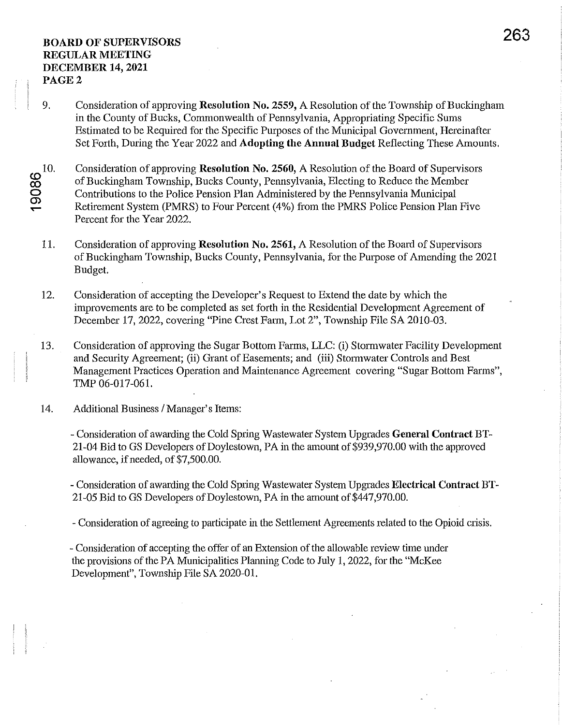- 9. Consideration of approving Resolution No. 2559, A Resolution of the Township of Buckingham in the County of Bucks, Commonwealth of Pennsylvania, Appropriating Specific Sums Estimated to be Required for the Specific Purposes of the Municipal Government, Hereinafter Set Forth, During the Year 2022 and Adopting the Annual Budget Reflecting These Amounts.
- $\overline{\mathbf{\omega}}$ CO o င္ကာ 10. Consideration of approving Resolution No. 2560, A Resolution of the Board of Supervisors of Buckingham Township, Bucks County, Pennsylvania, Electing to Reduce the Member Contributions to the Police Pension Plan Administered by the Pennsylvania Municipal Retirement System (PMRS) to Four Percent (4%) from the PMRS Police Pension Plan Five Percent for the Year 2022.
	- 11. Consideration of approving Resolution No. 2561, A Resolution of the Board of Supervisors of Buckingham Township, Bucks County, Pennsylvania, for the Purpose of Amending the 2021 Budget.
	- 12. Consideration of accepting the Developer's Request to Extend the date by which the improvements are to be completed as set forth in the Residential Development Agreement of December 17, 2022, covering "Pine Crest Farm, Lot 2", Township File SA 2010-03.
	- 13. Consideration of approving the Sugar Bottom Farms, LLC: (i) Stormwater Facility Development and Security Agreement; (ii) Grant of Easements; and (iii) Stormwater Controls and Best Management Practices Operation and Maintenance Agreement covering "Sugar Bottom Farms", TMP 06-017-061.
	- 14. Additional Business / Manager's Items:

- Consideration of awarding the Cold Spring Wastewater System Upgrades General Contract BT-21-04 Bid to GS Developers of Doylestown, PA in the amount of \$939,970.00 with the approved allowance, if needed, of \$7,500.00.

- Consideration of awarding the Cold Spring Wastewater System Upgrades Electrical Contract BT-21-05 Bid to GS Developers of Doylestown, PA in the amount of \$447,970.00.

- Consideration of agreeing to participate in the Settlement Agreements related to the Opioid crisis.

- Consideration of accepting the offer of an Extension of the allowable review time under the provisions of the PA Municipalities Planning Code to July 1, 2022, for the "McKee" Development", Township File SA 2020-01.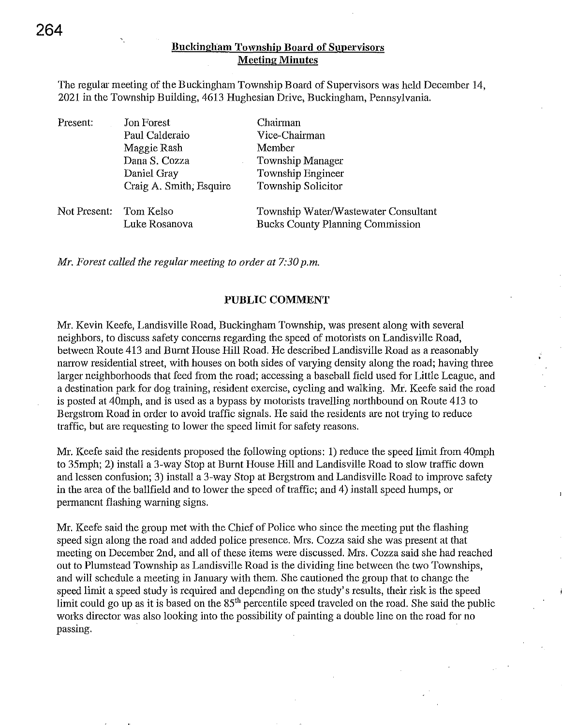#### Buckingham Township Board of Supervisors Meeting Minutes

The regular meeting of the Buckingham Township Board of Supervisors was held December 14, 2021 in the Township Building, 4613 Hughesian Drive, Buckingham, Pennsylvania.

| Present:               | Jon Forest              | Chairman                                |
|------------------------|-------------------------|-----------------------------------------|
|                        | Paul Calderaio          | Vice-Chairman                           |
|                        | Maggie Rash             | Member                                  |
|                        | Dana S. Cozza           | Township Manager                        |
|                        | Daniel Gray             | Township Engineer                       |
|                        | Craig A. Smith, Esquire | Township Solicitor                      |
| Not Present: Tom Kelso |                         | Township Water/Wastewater Consultant    |
|                        | Luke Rosanova           | <b>Bucks County Planning Commission</b> |

*Mr. Forest called the regular meeting to order at 7:30 p.m.* 

#### PUBLIC COMMENT

Mr. Kevin Keefe, Landisville Road, Buckingham Township, was present along with several neighbors, to discuss safety concerns regarding the speed of motorists on Landisville Road, between Route 413 and Burnt House Hill Road. He described Landisville Road as a reasonably narrow residential street, with houses on both sides of varying density along the road; having three larger neighborhoods that feed from the road; accessing a baseball field used for Little League, and a destination park for dog training, resident exercise, cycling and walking. Mr. Keefe said the road is posted at 40mph, and is used as a bypass by motorists travelling northbound on Route 413 to Bergstrom Road in order to avoid traffic signals. He said the residents are not trying to reduce traffic, but are requesting to lower the speed limit for safety reasons.

Mr. Keefe said the residents proposed the following options: 1) reduce the speed limit from 40mph to 35mph; 2) install a 3-way Stop at Burnt House Hill and Landisville Road to slow traffic down and lessen confusion; 3) install a 3-way Stop at Bergstrom and Landisville Road to improve safety in the area of the ballfield and to lower the speed of traffic; and 4) install speed humps, or permanent flashing warning signs.

Mr. Keefe said the group met with the Chief of Police who since the meeting put the flashing speed sign along the road and added police presence. Mrs. Cozza said she was present at that meeting on December 2nd, and all of these items were discussed. Mrs. Cozza said she had reached out to Plumstead Township as Landisville Road is the dividing line between the two Townships, and will schedule a meeting in January with them. She cautioned the group that to change the speed limit a speed study is required and depending on the study's results, their risk is the speed limit could go up as it is based on the 85<sup>th</sup> percentile speed traveled on the road. She said the public works director was also looking into the possibility of painting a double line on the road for no passing.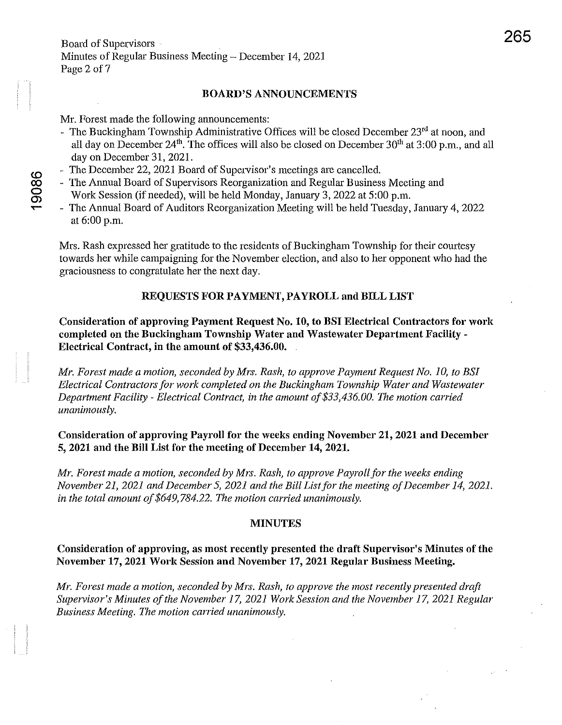#### BOARD'S ANNOUNCEMENTS

Mr. Forest made the following announcements:

- The Buckingham Township Administrative Offices will be closed December 23<sup>rd</sup> at noon, and all day on December  $24<sup>th</sup>$ . The offices will also be closed on December  $30<sup>th</sup>$  at  $3:00$  p.m., and all day on December 31,2021.
- The December 22, 2021 Board of Supervisor's meetings are cancelled.
- The Annual Board of Supervisors Reorganization and Regular Business Meeting and Work Session (if needed), will be held Monday, January 3, 2022 at 5:00 p.m.
- The Annual Board of Auditors Reorganization Meeting will be held Tuesday, January 4,2022 at 6:00 p.m.

Mrs. Rash expressed her gratitude to the residents of Buckingham Township for their courtesy towards her while campaigning for the November election, and also to her opponent who had the graciousness to congratulate her the next day.

# REQUESTS FOR PAYMENT, PAYROLL and BILL LIST

Consideration of approving Payment Request No. 10, to BSI Electrical Contractors for work completed on the Buckingham Township Water and Wastewater Department Facility - Electrical Contract, in the amount of \$33,436.00.

*Mr. Forest made a motion, seconded by Mrs. Rash, to approve Payment Request No.1* 0, *to BS1 Electrical Contractors for work completed on the Buckingham Township Water and Wastewater Department Facility* - *Electrical Contract, in the amount of \$33,436.00. The motion carried unanimously.* 

# Consideration of approving Payroll for the weeks ending November 21, 2021 and December 5, 2021 and the Bill List for the meeting of December 14, 2021.

*Mr. Forest made a motion, seconded by Mrs. Rash, to approve Payroll for the weeks ending November 21,2021 and December 5,2021 and the Bill Listfor the meeting of December 14,2021. in the total amount of* \$649,784.22. *The motion carried unanimously.* 

#### MINUTES

# Consideration of approving, as most recently presented the draft Supervisor's Minutes of the November 17, 2021 Work Session and November 17, 2021 Regular Busiuess Meetiug.

*Mr. Forest made a motion, seconded by Mrs. Rash, to approve the most recently presented draft Supervisor's Minutes of the November 17,2021 Work Session and the November* 17, *2021 Regular Business Meeting. The motion carried unanimously.* 

9086  $\tilde{}$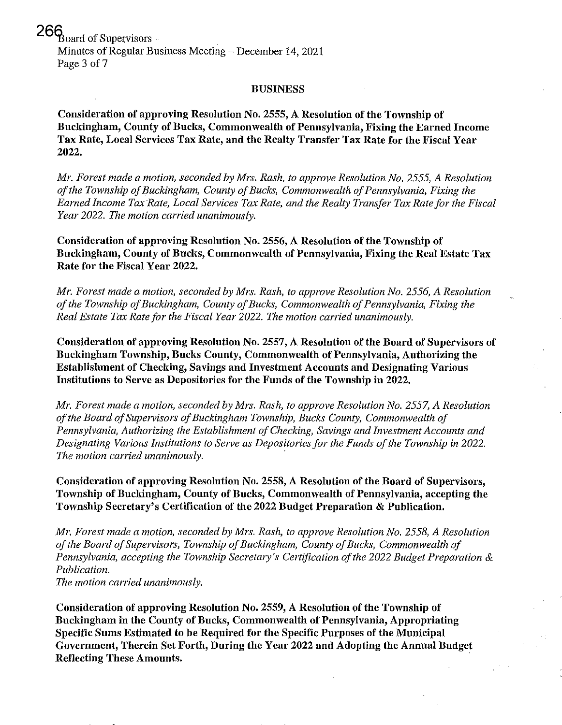$266$   $_{\text{board of Supervisors}}$ . Minutes of Regular Business Meeting  $-$  December 14, 2021 Page 3 of 7

#### BUSINESS

Consideration of approving Resolution No. 2555, A Resolution of the Township of Buckingham, County of Bucks, Commonwealth of Pennsylvania, Fixing the Earned Income Tax Rate, Local Services Tax Rate, and the Realty Transfer Tax Rate for the Fiscal Year 2022.

*Mr. Forest made a motion, seconded by Mrs. Rash, to approve Resolution No. 2555, A Resolution of the Township of Buckingham, County of Bucks, Commonwealth of Pennsylvania, Fixing the Earned Income Tax Rate, Local Services Tax Rate, and the Realty Transfer Tax Rate for the Fiscal Year 2022. The motion carried unanimously.* 

Consideration of approving Resolution No. 2556, A Resolution of the Township of Buckingham, County of Bucks, Commonwealth of Pennsylvania, Fixing the Real Estate Tax Rate for the Fiscal Year 2022.

*Mr. Forest made a motion, seconded by Mrs. Rash, to approve Resolution No.* 2556, *A Resolution of the Township of Buckingham, County of Bucks, Commonwealth of Pennsylvania, Fixing the Real Estate Tax Ratefor the Fiscal Year 2022. The motion carried unanimously.* 

Consideration of approving Resolntion No. 2557, A Resolntion of the Board of Supervisors of Buckingham Township, Bncks County, Commonwealth of Pennsylvania, Authorizing the Establishment of Checking, Savings and Investment Accounts and Designating Various Institutions to Serve as Depositories for the Funds of the Township in 2022.

*Mr. Forest made a motion, seconded by Mrs. Rash, to approve Resolution No.* 2557, *A Resolution of the Board of Supervisors of Buckingham Township, Bucks County, Commonwealth of Pennsylvania, Authorizing the Establishment of Checking, Savings and Investment Accounts and*  Designating Various Institutions to Serve as Depositories for the Funds of the Township in 2022. *The motion carried unanimously.* 

Consideration of approving Resolution No. 2558, A Resolution of the Board of Supervisors, Township of Buckingham, County of Bucks, Commonwealth of Pennsylvania, accepting the Township Secretary's Certification of the 2022 Budget Preparation & Publication.

*Mr. Forest made a motion, seconded by Mrs. Rash, to approve Resolution No.* 2558, *A Resolution of the Board of Supervisors, Township of Buckingham, County of Bucks, Commonwealth of Pennsylvania, accepting the Township Secrefmy's Certification of the 2022 Budget Preparation* & *Publication.* 

*The motion carried unanimously.* 

Consideration of approving Resolution No. 2559, A Resolution of the Township of Buckingham in the County of Bucks, Commonwealth of Pennsylvania, Appropriating Specific Sums Estimated to be Required for the Specific Purposes of the Municipal Government, Therein Set Forth, During the Year 2022 and Adopting the Annual Budget Reflecting These Amounts. .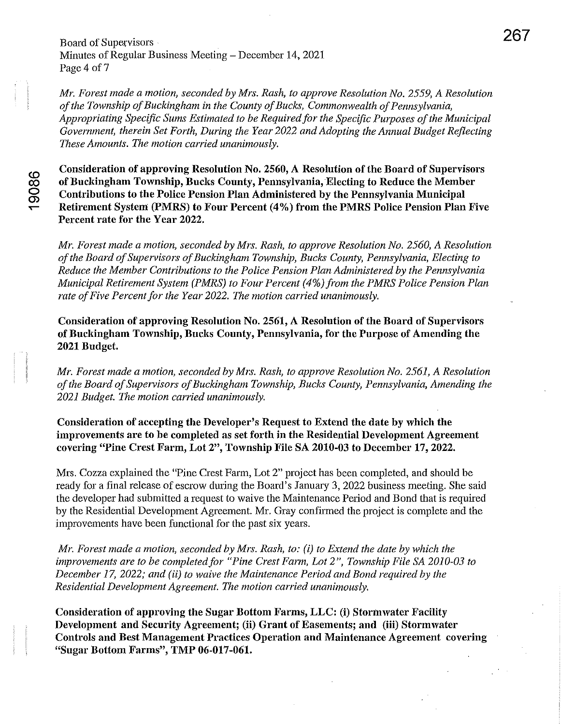Board of Supervisors Minutes of Regular Business Meeting – December 14, 2021 Page 4 of 7

*Mr. Forest made a motion, seconded by Mrs. Rash, to approve Resolution No. 2559, A Resolution of the Township of Buckingham in the County of Bucks, Commonwealth of Pennsylvania,*  Appropriating Specific Sums Estimated to be Required for the Specific Purposes of the Municipal *Government, therein Set Forth, During the Year 2022 and Adopting the Annual Budget Reflecting These Amounts. The motion carried unanimously.* 

Consideration of approving Resolution No. 2560, A Resolution of the Board of Supervisors of Buckingham Township, Bucks County, Pennsylvania, Electing to Reduce the Member Contributions to the Police Pension Plan Administered by the Pennsylvania Municipal Retirement System (PMRS) to Four Percent (4%) from the PMRS Police Pension Plan Five Percent rate for the Year 2022.

*Mr. Forest made a motion, seconded by Mrs. Rash, to approve Resolution No. 2560, A Resolution of the Board of Supervisors of Buckingham Township, Bucks County, Pennsylvania, Electing to Reduce the Member Contributions to the Police Pension Plan Administered by the Pennsylvania Municipal Retirement System (PMRS) to Four Percent* (4%) *from the PMRS Police Pension Plan rate of Five Percent for the Year 2022. The motion carried unanimously.* 

Consideration of approving Resolution No. 2561, A Resolution of the Board of Supervisors of Buckingham Township, Bucks County, Pennsylvania, for the Purpose of Amending the 2021 Budget.

*Mr. Forest made a motion, seconded by Mrs. Rash, to approve Resolution No.* 2561, A *Resolution of the Board of Supervisors of Buckingham Township, Bucks County, Pennsylvania, Amending the 2021 Budget. The motion carried unanimously.* 

Consideration of accepting the Developer's Request to Extend the date by which the improvements are to be completed as set forth in the Residential Development Agreement covering "Pine Crest Farm, Lot 2", Township File SA 2010-03 to December 17, 2022.

Mrs. Cozza explained the "Pine Crest Farm, Lot 2" project has been completed, and should be ready for a final release of escrow during the Board's January 3, 2022 business meeting. She said the developer had submitted a request to waive the Maintenance Period and Bond that is required by the Residential Development Agreement. Mr. Gray confirmed the project is complete and the improvements have been functional for the past six years.

*Mr. Forest made a motion, seconded by Mrs. Rash, to: (i) to Extend the date by which the improvements are to be completedfor "Pine Crest Fan!!, Lot* 2", *Township File* SA *2010-03 to December* 17, *2022; and (ii) to waive the Maintenance Period and Bond required by the Residential Development Agreement. The motion carried unanimously.* 

Consideration of approving the Sugar Bottom Farms, LLC: (i) Stormwater Facility Development and Security Agreement; (ii) Grant of Easements; and (iii) Stormwater Controls and Best Management Practices Operation and Maintenance Agreement covering "Sugar Bottom Farms", TMP 06-017-061.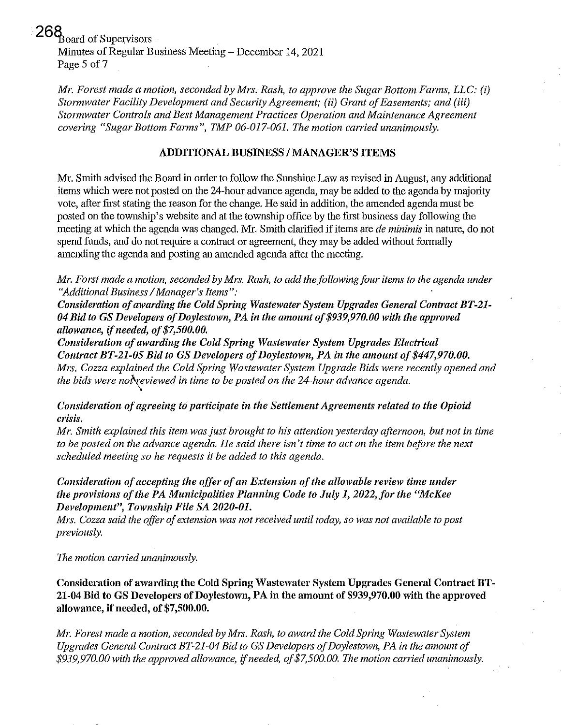$268$ <sub>board</sub> of Supervisors Minutes of Regular Business Meeting – December 14, 2021 Page 5 of 7

*Mr. Forest made a motion, seconded by Mrs. Rash, to approve the Sugar Bottom Farms, LLC: (i) Stormwater Facility Development and Security Agreement; (ii) Grant of Easements; and* (iii) *St01mwater Controls and Best Management Practices Operation and Maintenance Agreement covering "Sugar Bottom Farms", TMP 06-017-061. The motion carried unanimously.* 

#### ADDITIONAL BUSINESS / MANAGER'S ITEMS

Mr. Smith advised the Board in order to follow the Sunshine Law as revised in August, any additional items which were not posted on the 24-hour advance agenda, may be added to the agenda by majority vote, after first stating the reason for the change. He said in addition, the amended agenda must be posted on the township's website and at the township office by the first business day following the meeting at which the agenda was changed. Mr. Smith clarified if items are *de minimis* in nature, do not spend funds, and do not require a contract or agreement, they may be added without formally amending the agenda and posting an amended agenda after the meeting.

*Mr. Forst made a motion, seconded by Mrs. Rash, to add the following four items to the agenda under "Additional Business* / *Manager's Items":* 

*Consideration of awarding the Cold Spring Wastewater System Upgrades General Contract BT-21- 04 Bid to* GS *Developers of Doylestown, PA in the amount of \$939,970.00 with the approved allowance, ifneeded, of\$7,500.00.* 

*Consideration of awarding the Cold Spring Wastewater System Upgrades Electrical Contract BT-21-05 Bid to* GS *Developers of Doylestown, PA in the amount of \$447,970.00. Mrs. Cozza explained the Cold Spring Wastewater System Upgrade Bids were recently opened and the bids were not reviewed in time to be posted on the 24-hour advance agenda.* 

*Consideration of agreeing td participate in the Settlement Agreements related to the Opioid crisis.* 

*Mr. Smith explained this item was just brought to his attention yesterday afternoon, but not in time to be posted on the advance agenda. He said there isn't time to act on the item before the next scheduled meeting so he requests it be added to this agenda.* 

*Consideration of accepting the offer of an Extension of the allowable review time under the provisions of the PA Municipalities Planning Code to July* 1, *2022,for the "McKee Development", Township File SA 2020-01.* 

*Mrs. Cozza said the offer of extension was not received until today, so was not available to post previously.* 

*The motion carried unanimously.* 

Consideration of awarding the Cold Spring Wastewater System Upgrades General Contract BT-21-04 Bid to GS Developers of Doylestown, PA in the amount of \$939,970.00 with the approved allowance, if needed, of \$7,500.00.

*Mr. Forest made a motion, seconded by Mrs. Rash, to award the Cold Spring Wastewater System Upgrades General Contract BT-21-04 Bid to* GS *Developers of Doylestown, PA in the amount of \$939,970.00 with the approved allowance, ifneeded, of \$7,500.00. Vie motion carried unanimously.*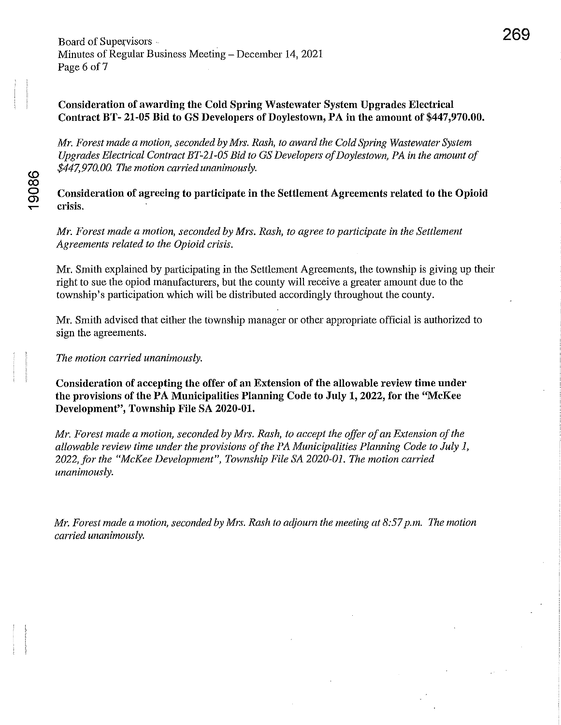# Consideration of awarding the Cold Spring Wastewater System Upgrades Electrical Contract BT- 21-05 Bid to GS Developers of Doylestown, PA in the amount of \$447,970.00.

*Mr. Forest made a motion, seconded by Mrs. Rash, to award the Cold Spring Wastewater System Upgrades Electrical Contract BT-21-05 Bid to* GS *Developers of Doylestown, PA in the amount of \$447,970.00. The motion carried unanimously.* 

Consideration of agreeing to participate in the Settlement Agreements related to the Opioid crisis.

*Mr. Forest made a motion, seconded by Mrs. Rash, to agree to participate in the Settlement Agreements related to the Opioid crisis.* 

Mr. Smith explained by participating in the Settlement Agreements, the township is giving up their right to sue the opiod manufacturers, but the county will receive a greater amount due to the township's participation which will be distributed accordingly throughout the county.

Mr. Smith advised that either the township manager or other appropriate official is authorized to sign the agreements.

*The motion carried unanimously.* 

Consideration of accepting the offer of an Extension of the allowable review time under the provisions of the PA Municipalities Planning Code to July 1, 2022, for the "McKee Development", Township File SA 2020-01.

*Mr. Forest made a motion, seconded by Mrs. Rash, to accept the offer of an Extension of the allowable review time under the provisions of the PA Municipalities Planning Code to July 1,*  2022, for the "McKee Development", Township File SA 2020-01. The motion carried *unanimously.* 

*Mr. Forest made a motion, seconded by Mrs. Rash to adjourn the meeting at 8:57 p.m. The motion carried unanimously.*